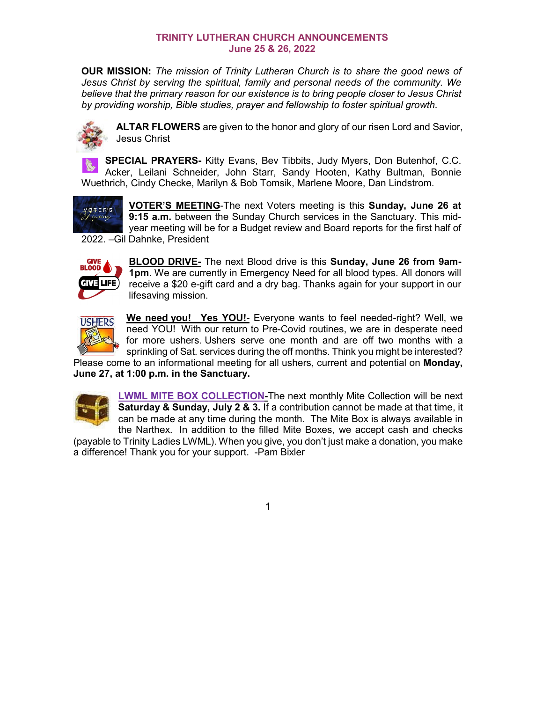## **TRINITY LUTHERAN CHURCH ANNOUNCEMENTS June 25 & 26, 2022**

**OUR MISSION:** *The mission of Trinity Lutheran Church is to share the good news of Jesus Christ by serving the spiritual, family and personal needs of the community. We believe that the primary reason for our existence is to bring people closer to Jesus Christ by providing worship, Bible studies, prayer and fellowship to foster spiritual growth.*



**ALTAR FLOWERS** are given to the honor and glory of our risen Lord and Savior, Jesus Christ

**SPECIAL PRAYERS-** Kitty Evans, Bev Tibbits, Judy Myers, Don Butenhof, C.C. Acker, Leilani Schneider, John Starr, Sandy Hooten, Kathy Bultman, Bonnie Wuethrich, Cindy Checke, Marilyn & Bob Tomsik, Marlene Moore, Dan Lindstrom.



**VOTER'S MEETING**-The next Voters meeting is this **Sunday, June 26 at 9:15 a.m.** between the Sunday Church services in the Sanctuary. This midyear meeting will be for a Budget review and Board reports for the first half of 2022. –Gil Dahnke, President



**BLOOD DRIVE-** The next Blood drive is this **Sunday, June 26 from 9am-1pm**. We are currently in Emergency Need for all blood types. All donors will receive a \$20 e-gift card and a dry bag. Thanks again for your support in our lifesaving mission.



**We need you! Yes YOU!-** Everyone wants to feel needed-right? Well, we need YOU! With our return to Pre-Covid routines, we are in desperate need for more ushers. Ushers serve one month and are off two months with a sprinkling of Sat. services during the off months. Think you might be interested? Please come to an informational meeting for all ushers, current and potential on **Monday,** 

**June 27, at 1:00 p.m. in the Sanctuary.** 



**LWML MITE BOX COLLECTION-**The next monthly Mite Collection will be next **Saturday & Sunday, July 2 & 3.** If a contribution cannot be made at that time, it can be made at any time during the month. The Mite Box is always available in the Narthex. In addition to the filled Mite Boxes, we accept cash and checks

(payable to Trinity Ladies LWML). When you give, you don't just make a donation, you make a difference! Thank you for your support. -Pam Bixler

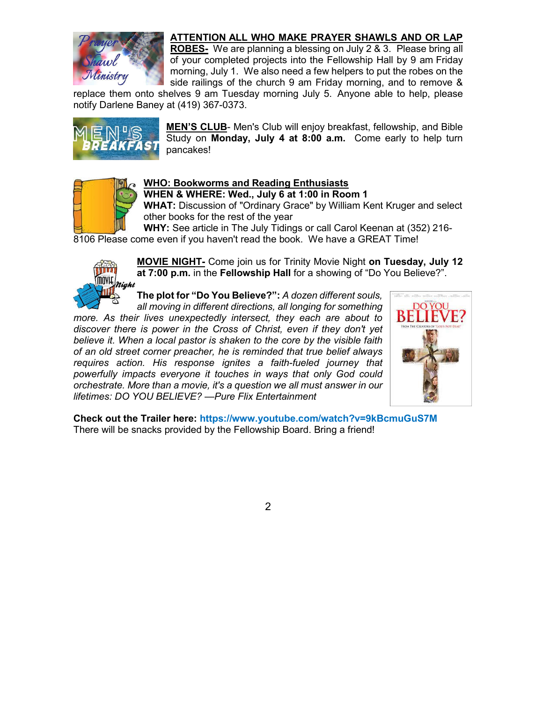## **ATTENTION ALL WHO MAKE PRAYER SHAWLS AND OR LAP**



**ROBES-** We are planning a blessing on July 2 & 3. Please bring all of your completed projects into the Fellowship Hall by 9 am Friday morning, July 1. We also need a few helpers to put the robes on the side railings of the church 9 am Friday morning, and to remove &

replace them onto shelves 9 am Tuesday morning July 5. Anyone able to help, please notify Darlene Baney at (419) 367-0373.



**MEN'S CLUB**- Men's Club will enjoy breakfast, fellowship, and Bible Study on **Monday, July 4 at 8:00 a.m.** Come early to help turn pancakes!



## **WHO: Bookworms and Reading Enthusiasts**

**WHEN & WHERE: Wed., July 6 at 1:00 in Room 1**

**WHAT:** Discussion of "Ordinary Grace" by William Kent Kruger and select other books for the rest of the year

**WHY:** See article in The July Tidings or call Carol Keenan at (352) 216- 8106 Please come even if you haven't read the book. We have a GREAT Time!



**MOVIE NIGHT-** Come join us for Trinity Movie Night **on Tuesday, July 12 at 7:00 p.m.** in the **Fellowship Hall** for a showing of "Do You Believe?".

**The plot for "Do You Believe?":** *A dozen different souls,* 

*all moving in different directions, all longing for something more. As their lives unexpectedly intersect, they each are about to discover there is power in the Cross of Christ, even if they don't yet believe it. When a local pastor is shaken to the core by the visible faith of an old street corner preacher, he is reminded that true belief always requires action. His response ignites a faith-fueled journey that powerfully impacts everyone it touches in ways that only God could orchestrate. More than a movie, it's a question we all must answer in our lifetimes: DO YOU BELIEVE? —Pure Flix Entertainment*



**Check out the Trailer here: https://www.youtube.com/watch?v=9kBcmuGuS7M** There will be snacks provided by the Fellowship Board. Bring a friend!

2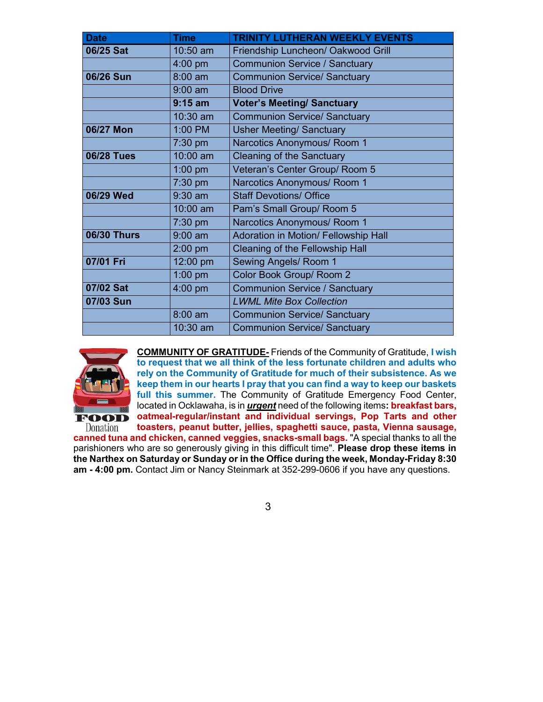| <b>Date</b>        | <b>Time</b> | <b>TRINITY LUTHERAN WEEKLY EVENTS</b>  |  |  |  |
|--------------------|-------------|----------------------------------------|--|--|--|
| 06/25 Sat          | 10:50 am    | Friendship Luncheon/ Oakwood Grill     |  |  |  |
|                    | $4:00$ pm   | <b>Communion Service / Sanctuary</b>   |  |  |  |
| 06/26 Sun          | 8:00 am     | <b>Communion Service/ Sanctuary</b>    |  |  |  |
|                    | $9:00$ am   | <b>Blood Drive</b>                     |  |  |  |
|                    | $9:15$ am   | <b>Voter's Meeting/ Sanctuary</b>      |  |  |  |
|                    | 10:30 am    | <b>Communion Service/ Sanctuary</b>    |  |  |  |
| 06/27 Mon          | 1:00 PM     | <b>Usher Meeting/ Sanctuary</b>        |  |  |  |
|                    | 7:30 pm     | Narcotics Anonymous/ Room 1            |  |  |  |
| <b>06/28 Tues</b>  | 10:00 am    | <b>Cleaning of the Sanctuary</b>       |  |  |  |
|                    | $1:00$ pm   | Veteran's Center Group/ Room 5         |  |  |  |
|                    | $7:30$ pm   | Narcotics Anonymous/ Room 1            |  |  |  |
| 06/29 Wed          | $9:30$ am   | <b>Staff Devotions/ Office</b>         |  |  |  |
|                    | 10:00 am    | Pam's Small Group/ Room 5              |  |  |  |
|                    | $7:30$ pm   | Narcotics Anonymous/ Room 1            |  |  |  |
| <b>06/30 Thurs</b> | $9:00$ am   | Adoration in Motion/ Fellowship Hall   |  |  |  |
|                    | $2:00$ pm   | <b>Cleaning of the Fellowship Hall</b> |  |  |  |
| 07/01 Fri          | 12:00 pm    | <b>Sewing Angels/ Room 1</b>           |  |  |  |
|                    | $1:00$ pm   | Color Book Group/ Room 2               |  |  |  |
| 07/02 Sat          | 4:00 pm     | <b>Communion Service / Sanctuary</b>   |  |  |  |
| 07/03 Sun          |             | <b>LWML Mite Box Collection</b>        |  |  |  |
|                    | $8:00$ am   | <b>Communion Service/ Sanctuary</b>    |  |  |  |
|                    | $10:30$ am  | <b>Communion Service/ Sanctuary</b>    |  |  |  |



**COMMUNITY OF GRATITUDE-** Friends of the Community of Gratitude, **I wish to request that we all think of the less fortunate children and adults who rely on the Community of Gratitude for much of their subsistence. As we keep them in our hearts I pray that you can find a way to keep our baskets full this summer.** The Community of Gratitude Emergency Food Center, located in Ocklawaha, is in *urgent* need of the following items**: breakfast bars, oatmeal-regular/instant and individual servings, Pop Tarts and other toasters, peanut butter, jellies, spaghetti sauce, pasta, Vienna sausage,** 

Donation **canned tuna and chicken, canned veggies, snacks-small bags.** "A special thanks to all the parishioners who are so generously giving in this difficult time". **Please drop these items in the Narthex on Saturday or Sunday or in the Office during the week, Monday-Friday 8:30 am - 4:00 pm.** Contact Jim or Nancy Steinmark at 352-299-0606 if you have any questions.

3